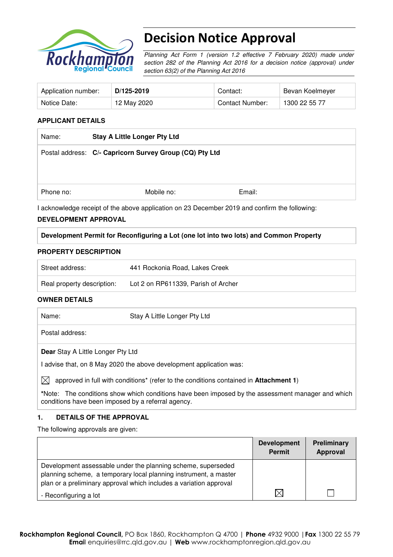

# Decision Notice Approval

Planning Act Form 1 (version 1.2 effective 7 February 2020) made under section 282 of the Planning Act 2016 for a decision notice (approval) under section 63(2) of the Planning Act 2016

| Application number: | D/125-2019  | Contact:        | Bevan Koelmeyer |
|---------------------|-------------|-----------------|-----------------|
| Notice Date:        | 12 May 2020 | Contact Number: | 1300 22 55 77   |

#### **APPLICANT DETAILS**

| Name:     | <b>Stay A Little Longer Pty Ltd</b>                                                           |        |  |
|-----------|-----------------------------------------------------------------------------------------------|--------|--|
|           | Postal address: C/- Capricorn Survey Group (CQ) Pty Ltd                                       |        |  |
|           |                                                                                               |        |  |
|           |                                                                                               |        |  |
| Phone no: | Mobile no:                                                                                    | Email: |  |
|           | I acknowledge receipt of the above application on 23 December 2019 and confirm the following: |        |  |

#### **DEVELOPMENT APPROVAL**

#### **Development Permit for Reconfiguring a Lot (one lot into two lots) and Common Property**

#### **PROPERTY DESCRIPTION**

| Street address:            | 441 Rockonia Road, Lakes Creek      |
|----------------------------|-------------------------------------|
| Real property description: | Lot 2 on RP611339, Parish of Archer |

#### **OWNER DETAILS**

| Name:                                    | Stay A Little Longer Pty Ltd                                        |
|------------------------------------------|---------------------------------------------------------------------|
| Postal address:                          |                                                                     |
| <b>Dear Stay A Little Longer Pty Ltd</b> |                                                                     |
|                                          | I advise that, on 8 May 2020 the above development application was: |

 $\boxtimes$  approved in full with conditions<sup>\*</sup> (refer to the conditions contained in **Attachment 1**)

**\***Note:The conditions show which conditions have been imposed by the assessment manager and which conditions have been imposed by a referral agency.

#### **1. DETAILS OF THE APPROVAL**

The following approvals are given:

|                                                                                                                                                                                                        | <b>Development</b><br>Permit | <b>Preliminary</b><br>Approval |
|--------------------------------------------------------------------------------------------------------------------------------------------------------------------------------------------------------|------------------------------|--------------------------------|
| Development assessable under the planning scheme, superseded<br>planning scheme, a temporary local planning instrument, a master<br>plan or a preliminary approval which includes a variation approval |                              |                                |
| - Reconfiguring a lot                                                                                                                                                                                  |                              |                                |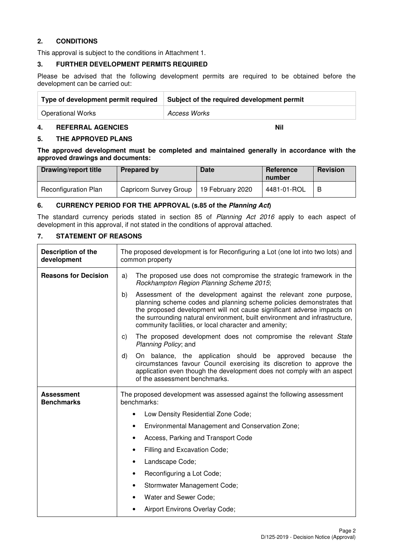#### **2. CONDITIONS**

This approval is subject to the conditions in Attachment 1.

#### **3. FURTHER DEVELOPMENT PERMITS REQUIRED**

Please be advised that the following development permits are required to be obtained before the development can be carried out:

| Type of development permit required | Subject of the required development permit |
|-------------------------------------|--------------------------------------------|
| <b>Operational Works</b>            | Access Works                               |

### **4. REFERRAL AGENCIES** Nil **Nil and Account 2012**

**5. THE APPROVED PLANS** 

**The approved development must be completed and maintained generally in accordance with the approved drawings and documents:** 

| <b>Drawing/report title</b> | <b>Prepared by</b>     | <b>Date</b>      | Reference<br>number | Revision |
|-----------------------------|------------------------|------------------|---------------------|----------|
| <b>Reconfiguration Plan</b> | Capricorn Survey Group | 19 February 2020 | 4481-01-ROL         | B        |

#### **6. CURRENCY PERIOD FOR THE APPROVAL (s.85 of the Planning Act)**

The standard currency periods stated in section 85 of Planning Act 2016 apply to each aspect of development in this approval, if not stated in the conditions of approval attached.

### **7. STATEMENT OF REASONS**

| Description of the<br>development      | The proposed development is for Reconfiguring a Lot (one lot into two lots) and<br>common property                                                                                                                                                                                                                                                              |  |  |
|----------------------------------------|-----------------------------------------------------------------------------------------------------------------------------------------------------------------------------------------------------------------------------------------------------------------------------------------------------------------------------------------------------------------|--|--|
| <b>Reasons for Decision</b>            | The proposed use does not compromise the strategic framework in the<br>a)<br>Rockhampton Region Planning Scheme 2015;                                                                                                                                                                                                                                           |  |  |
|                                        | Assessment of the development against the relevant zone purpose,<br>b)<br>planning scheme codes and planning scheme policies demonstrates that<br>the proposed development will not cause significant adverse impacts on<br>the surrounding natural environment, built environment and infrastructure,<br>community facilities, or local character and amenity; |  |  |
|                                        | The proposed development does not compromise the relevant State<br>$\mathsf{c})$<br>Planning Policy; and                                                                                                                                                                                                                                                        |  |  |
|                                        | d)<br>On balance, the application should be approved because the<br>circumstances favour Council exercising its discretion to approve the<br>application even though the development does not comply with an aspect<br>of the assessment benchmarks.                                                                                                            |  |  |
| <b>Assessment</b><br><b>Benchmarks</b> | The proposed development was assessed against the following assessment<br>benchmarks:                                                                                                                                                                                                                                                                           |  |  |
|                                        | Low Density Residential Zone Code;<br>$\bullet$                                                                                                                                                                                                                                                                                                                 |  |  |
|                                        | Environmental Management and Conservation Zone;<br>٠                                                                                                                                                                                                                                                                                                            |  |  |
|                                        | Access, Parking and Transport Code<br>٠                                                                                                                                                                                                                                                                                                                         |  |  |
|                                        | Filling and Excavation Code;<br>٠                                                                                                                                                                                                                                                                                                                               |  |  |
|                                        | Landscape Code;<br>٠                                                                                                                                                                                                                                                                                                                                            |  |  |
|                                        | Reconfiguring a Lot Code;<br>$\bullet$                                                                                                                                                                                                                                                                                                                          |  |  |
|                                        | Stormwater Management Code;<br>$\bullet$                                                                                                                                                                                                                                                                                                                        |  |  |
|                                        | Water and Sewer Code;                                                                                                                                                                                                                                                                                                                                           |  |  |
|                                        | Airport Environs Overlay Code;                                                                                                                                                                                                                                                                                                                                  |  |  |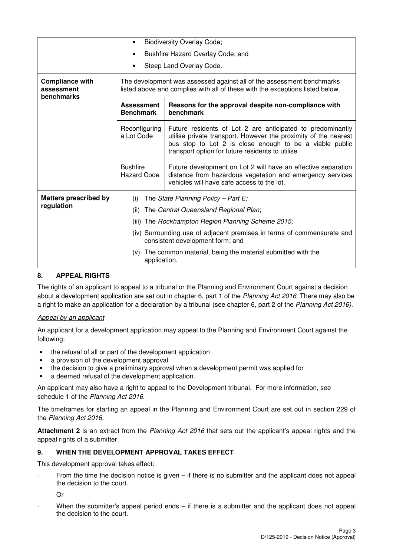|                                                    | <b>Biodiversity Overlay Code;</b>                                                                                                                      |                                                                                                                                                                                                                                               |  |  |
|----------------------------------------------------|--------------------------------------------------------------------------------------------------------------------------------------------------------|-----------------------------------------------------------------------------------------------------------------------------------------------------------------------------------------------------------------------------------------------|--|--|
|                                                    | Bushfire Hazard Overlay Code; and                                                                                                                      |                                                                                                                                                                                                                                               |  |  |
|                                                    | Steep Land Overlay Code.                                                                                                                               |                                                                                                                                                                                                                                               |  |  |
| <b>Compliance with</b><br>assessment<br>benchmarks | The development was assessed against all of the assessment benchmarks<br>listed above and complies with all of these with the exceptions listed below. |                                                                                                                                                                                                                                               |  |  |
|                                                    | <b>Assessment</b><br><b>Benchmark</b>                                                                                                                  | Reasons for the approval despite non-compliance with<br>benchmark                                                                                                                                                                             |  |  |
|                                                    | Reconfiguring<br>a Lot Code                                                                                                                            | Future residents of Lot 2 are anticipated to predominantly<br>utilise private transport. However the proximity of the nearest<br>bus stop to Lot 2 is close enough to be a viable public<br>transport option for future residents to utilise. |  |  |
|                                                    | <b>Bushfire</b><br><b>Hazard Code</b>                                                                                                                  | Future development on Lot 2 will have an effective separation<br>distance from hazardous vegetation and emergency services<br>vehicles will have safe access to the lot.                                                                      |  |  |
| <b>Matters prescribed by</b>                       | The State Planning Policy - Part $E_i$<br>(i)                                                                                                          |                                                                                                                                                                                                                                               |  |  |
| regulation                                         | The Central Queensland Regional Plan;<br>(ii)                                                                                                          |                                                                                                                                                                                                                                               |  |  |
|                                                    | (iii) The Rockhampton Region Planning Scheme 2015;                                                                                                     |                                                                                                                                                                                                                                               |  |  |
|                                                    | (iv) Surrounding use of adjacent premises in terms of commensurate and<br>consistent development form; and                                             |                                                                                                                                                                                                                                               |  |  |
|                                                    | The common material, being the material submitted with the<br>(V)<br>application.                                                                      |                                                                                                                                                                                                                                               |  |  |

#### **8. APPEAL RIGHTS**

The rights of an applicant to appeal to a tribunal or the Planning and Environment Court against a decision about a development application are set out in chapter 6, part 1 of the Planning Act 2016. There may also be a right to make an application for a declaration by a tribunal (see chapter 6, part 2 of the Planning Act 2016).

#### Appeal by an applicant

An applicant for a development application may appeal to the Planning and Environment Court against the following:

- the refusal of all or part of the development application
- a provision of the development approval
- the decision to give a preliminary approval when a development permit was applied for
- a deemed refusal of the development application.

An applicant may also have a right to appeal to the Development tribunal. For more information, see schedule 1 of the Planning Act 2016.

The timeframes for starting an appeal in the Planning and Environment Court are set out in section 229 of the Planning Act 2016.

**Attachment 2** is an extract from the Planning Act 2016 that sets out the applicant's appeal rights and the appeal rights of a submitter.

#### **9. WHEN THE DEVELOPMENT APPROVAL TAKES EFFECT**

This development approval takes effect:

From the time the decision notice is given  $-$  if there is no submitter and the applicant does not appeal the decision to the court.

Or

When the submitter's appeal period ends  $-$  if there is a submitter and the applicant does not appeal the decision to the court.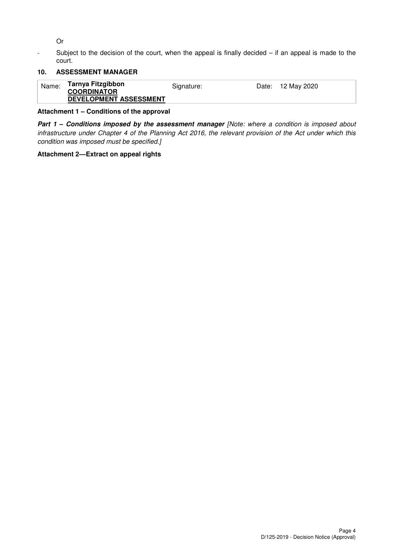Or

- Subject to the decision of the court, when the appeal is finally decided – if an appeal is made to the court.

## **10. ASSESSMENT MANAGER**

| Tarnya Fitzgibbon<br>Name:<br>Date: 12 May 2020<br>Signature:<br><b>COORDINATOR</b><br>DEVELOPMENT ASSESSMENT |
|---------------------------------------------------------------------------------------------------------------|
|---------------------------------------------------------------------------------------------------------------|

#### **Attachment 1 – Conditions of the approval**

**Part 1 - Conditions imposed by the assessment manager [Note: where a condition is imposed about** infrastructure under Chapter 4 of the Planning Act 2016, the relevant provision of the Act under which this condition was imposed must be specified.]

#### **Attachment 2—Extract on appeal rights**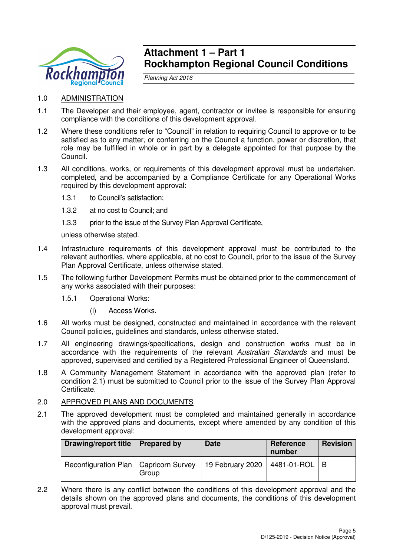

## **Attachment 1 – Part 1 Rockhampton Regional Council Conditions**

Planning Act 2016

- 1.0 ADMINISTRATION
- 1.1 The Developer and their employee, agent, contractor or invitee is responsible for ensuring compliance with the conditions of this development approval.
- 1.2 Where these conditions refer to "Council" in relation to requiring Council to approve or to be satisfied as to any matter, or conferring on the Council a function, power or discretion, that role may be fulfilled in whole or in part by a delegate appointed for that purpose by the Council.
- 1.3 All conditions, works, or requirements of this development approval must be undertaken, completed, and be accompanied by a Compliance Certificate for any Operational Works required by this development approval:
	- 1.3.1 to Council's satisfaction;
	- 1.3.2 at no cost to Council; and
	- 1.3.3 prior to the issue of the Survey Plan Approval Certificate,

unless otherwise stated.

- 1.4 Infrastructure requirements of this development approval must be contributed to the relevant authorities, where applicable, at no cost to Council, prior to the issue of the Survey Plan Approval Certificate, unless otherwise stated.
- 1.5 The following further Development Permits must be obtained prior to the commencement of any works associated with their purposes:
	- 1.5.1 Operational Works:
		- (i) Access Works.
- 1.6 All works must be designed, constructed and maintained in accordance with the relevant Council policies, guidelines and standards, unless otherwise stated.
- 1.7 All engineering drawings/specifications, design and construction works must be in accordance with the requirements of the relevant Australian Standards and must be approved, supervised and certified by a Registered Professional Engineer of Queensland.
- 1.8 A Community Management Statement in accordance with the approved plan (refer to condition 2.1) must be submitted to Council prior to the issue of the Survey Plan Approval Certificate.

#### 2.0 APPROVED PLANS AND DOCUMENTS

2.1 The approved development must be completed and maintained generally in accordance with the approved plans and documents, except where amended by any condition of this development approval:

| <b>Drawing/report title</b>             | Prepared by | <b>Date</b>      | Reference<br>number | <b>Revision</b> |
|-----------------------------------------|-------------|------------------|---------------------|-----------------|
| Reconfiguration Plan   Capricorn Survey | Group       | 19 February 2020 | 4481-01-ROL   B     |                 |

2.2 Where there is any conflict between the conditions of this development approval and the details shown on the approved plans and documents, the conditions of this development approval must prevail.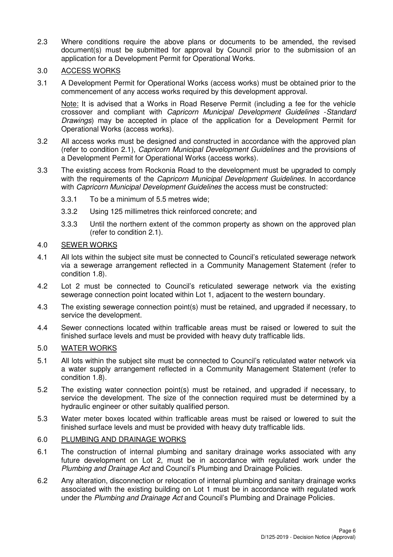- 2.3 Where conditions require the above plans or documents to be amended, the revised document(s) must be submitted for approval by Council prior to the submission of an application for a Development Permit for Operational Works.
- 3.0 ACCESS WORKS
- 3.1 A Development Permit for Operational Works (access works) must be obtained prior to the commencement of any access works required by this development approval.

Note: It is advised that a Works in Road Reserve Permit (including a fee for the vehicle crossover and compliant with Capricorn Municipal Development Guidelines -Standard Drawings) may be accepted in place of the application for a Development Permit for Operational Works (access works).

- 3.2 All access works must be designed and constructed in accordance with the approved plan (refer to condition 2.1), Capricorn Municipal Development Guidelines and the provisions of a Development Permit for Operational Works (access works).
- 3.3 The existing access from Rockonia Road to the development must be upgraded to comply with the requirements of the *Capricorn Municipal Development Guidelines*. In accordance with Capricorn Municipal Development Guidelines the access must be constructed:
	- 3.3.1 To be a minimum of 5.5 metres wide;
	- 3.3.2 Using 125 millimetres thick reinforced concrete; and
	- 3.3.3 Until the northern extent of the common property as shown on the approved plan (refer to condition 2.1).

#### 4.0 SEWER WORKS

- 4.1 All lots within the subject site must be connected to Council's reticulated sewerage network via a sewerage arrangement reflected in a Community Management Statement (refer to condition 1.8).
- 4.2 Lot 2 must be connected to Council's reticulated sewerage network via the existing sewerage connection point located within Lot 1, adjacent to the western boundary.
- 4.3 The existing sewerage connection point(s) must be retained, and upgraded if necessary, to service the development.
- 4.4 Sewer connections located within trafficable areas must be raised or lowered to suit the finished surface levels and must be provided with heavy duty trafficable lids.

#### 5.0 WATER WORKS

- 5.1 All lots within the subject site must be connected to Council's reticulated water network via a water supply arrangement reflected in a Community Management Statement (refer to condition 1.8).
- 5.2 The existing water connection point(s) must be retained, and upgraded if necessary, to service the development. The size of the connection required must be determined by a hydraulic engineer or other suitably qualified person.
- 5.3 Water meter boxes located within trafficable areas must be raised or lowered to suit the finished surface levels and must be provided with heavy duty trafficable lids.

#### 6.0 PLUMBING AND DRAINAGE WORKS

- 6.1 The construction of internal plumbing and sanitary drainage works associated with any future development on Lot 2, must be in accordance with regulated work under the Plumbing and Drainage Act and Council's Plumbing and Drainage Policies.
- 6.2 Any alteration, disconnection or relocation of internal plumbing and sanitary drainage works associated with the existing building on Lot 1 must be in accordance with regulated work under the Plumbing and Drainage Act and Council's Plumbing and Drainage Policies.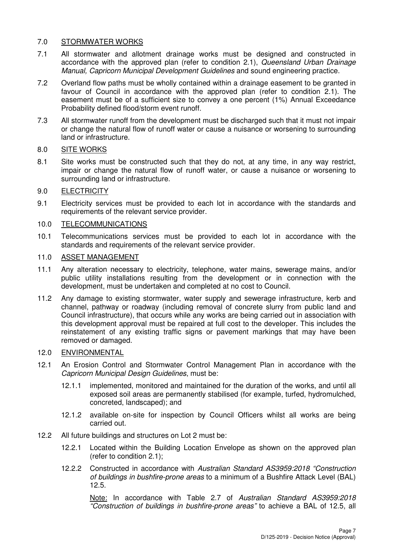## 7.0 STORMWATER WORKS

- 7.1 All stormwater and allotment drainage works must be designed and constructed in accordance with the approved plan (refer to condition 2.1), Queensland Urban Drainage Manual, Capricorn Municipal Development Guidelines and sound engineering practice.
- 7.2 Overland flow paths must be wholly contained within a drainage easement to be granted in favour of Council in accordance with the approved plan (refer to condition 2.1). The easement must be of a sufficient size to convey a one percent (1%) Annual Exceedance Probability defined flood/storm event runoff.
- 7.3 All stormwater runoff from the development must be discharged such that it must not impair or change the natural flow of runoff water or cause a nuisance or worsening to surrounding land or infrastructure.

### 8.0 SITE WORKS

8.1 Site works must be constructed such that they do not, at any time, in any way restrict, impair or change the natural flow of runoff water, or cause a nuisance or worsening to surrounding land or infrastructure.

## 9.0 ELECTRICITY

9.1 Electricity services must be provided to each lot in accordance with the standards and requirements of the relevant service provider.

#### 10.0 TELECOMMUNICATIONS

10.1 Telecommunications services must be provided to each lot in accordance with the standards and requirements of the relevant service provider.

## 11.0 ASSET MANAGEMENT

- 11.1 Any alteration necessary to electricity, telephone, water mains, sewerage mains, and/or public utility installations resulting from the development or in connection with the development, must be undertaken and completed at no cost to Council.
- 11.2 Any damage to existing stormwater, water supply and sewerage infrastructure, kerb and channel, pathway or roadway (including removal of concrete slurry from public land and Council infrastructure), that occurs while any works are being carried out in association with this development approval must be repaired at full cost to the developer. This includes the reinstatement of any existing traffic signs or pavement markings that may have been removed or damaged.

#### 12.0 ENVIRONMENTAL

- 12.1 An Erosion Control and Stormwater Control Management Plan in accordance with the Capricorn Municipal Design Guidelines, must be:
	- 12.1.1 implemented, monitored and maintained for the duration of the works, and until all exposed soil areas are permanently stabilised (for example, turfed, hydromulched, concreted, landscaped); and
	- 12.1.2 available on-site for inspection by Council Officers whilst all works are being carried out.
- 12.2 All future buildings and structures on Lot 2 must be:
	- 12.2.1 Located within the Building Location Envelope as shown on the approved plan (refer to condition 2.1);
	- 12.2.2 Constructed in accordance with Australian Standard AS3959:2018 "Construction of buildings in bushfire-prone areas to a minimum of a Bushfire Attack Level (BAL) 12.5.

Note: In accordance with Table 2.7 of Australian Standard AS3959:2018 "Construction of buildings in bushfire-prone areas" to achieve a BAL of 12.5, all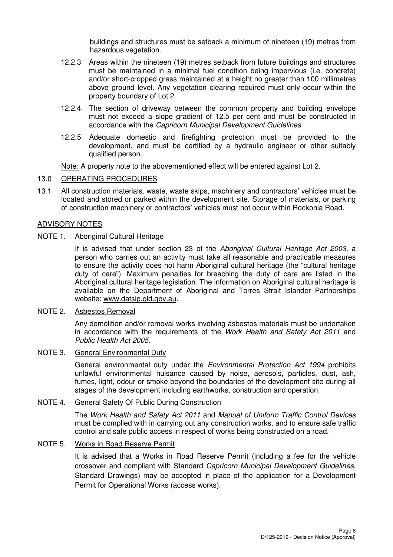buildings and structures must be setback a minimum of nineteen (19) metres from hazardous vegetation.

- 12.2.3 Areas within the nineteen (19) metres setback from future buildings and structures must be maintained in a minimal fuel condition being impervious (i.e. concrete) and/or short-cropped grass maintained at a height no greater than 100 millimetres above ground level. Any vegetation clearing required must only occur within the property boundary of Lot 2.
- 12.2.4 The section of driveway between the common property and building envelope must not exceed a slope gradient of 12.5 per cent and must be constructed in accordance with the Capricorn Municipal Development Guidelines.
- 12.2.5 Adequate domestic and firefighting protection must be provided to the development, and must be certified by a hydraulic engineer or other suitably qualified person.

Note: A property note to the abovementioned effect will be entered against Lot 2.

#### 13.0 OPERATING PROCEDURES

13.1 All construction materials, waste, waste skips, machinery and contractors' vehicles must be located and stored or parked within the development site. Storage of materials, or parking of construction machinery or contractors' vehicles must not occur within Rockonia Road.

#### ADVISORY NOTES

#### NOTE 1. Aboriginal Cultural Heritage

It is advised that under section 23 of the Aboriginal Cultural Heritage Act 2003, a person who carries out an activity must take all reasonable and practicable measures to ensure the activity does not harm Aboriginal cultural heritage (the "cultural heritage duty of care"). Maximum penalties for breaching the duty of care are listed in the Aboriginal cultural heritage legislation. The information on Aboriginal cultural heritage is available on the Department of Aboriginal and Torres Strait Islander Partnerships website: www.datsip.qld.gov.au.

#### NOTE 2. Asbestos Removal

Any demolition and/or removal works involving asbestos materials must be undertaken in accordance with the requirements of the Work Health and Safety Act 2011 and Public Health Act 2005.

#### NOTE 3. General Environmental Duty

General environmental duty under the Environmental Protection Act 1994 prohibits unlawful environmental nuisance caused by noise, aerosols, particles, dust, ash, fumes, light, odour or smoke beyond the boundaries of the development site during all stages of the development including earthworks, construction and operation.

## NOTE 4. General Safety Of Public During Construction

The Work Health and Safety Act 2011 and Manual of Uniform Traffic Control Devices must be complied with in carrying out any construction works, and to ensure safe traffic control and safe public access in respect of works being constructed on a road.

#### NOTE 5. Works in Road Reserve Permit

It is advised that a Works in Road Reserve Permit (including a fee for the vehicle crossover and compliant with Standard Capricorn Municipal Development Guidelines, Standard Drawings) may be accepted in place of the application for a Development Permit for Operational Works (access works).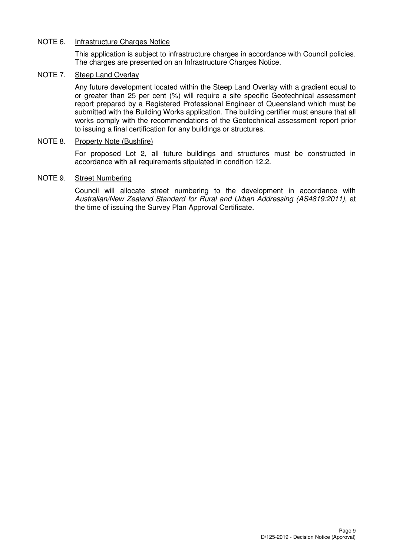### NOTE 6. Infrastructure Charges Notice

This application is subject to infrastructure charges in accordance with Council policies. The charges are presented on an Infrastructure Charges Notice.

#### NOTE 7. Steep Land Overlay

 Any future development located within the Steep Land Overlay with a gradient equal to or greater than 25 per cent (%) will require a site specific Geotechnical assessment report prepared by a Registered Professional Engineer of Queensland which must be submitted with the Building Works application. The building certifier must ensure that all works comply with the recommendations of the Geotechnical assessment report prior to issuing a final certification for any buildings or structures.

#### NOTE 8. Property Note (Bushfire)

For proposed Lot 2, all future buildings and structures must be constructed in accordance with all requirements stipulated in condition 12.2.

#### NOTE 9. Street Numbering

Council will allocate street numbering to the development in accordance with Australian/New Zealand Standard for Rural and Urban Addressing (AS4819:2011), at the time of issuing the Survey Plan Approval Certificate.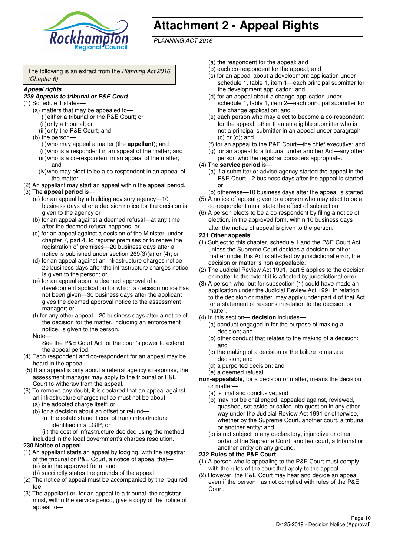

# **Attachment 2 - Appeal Rights**

PLANNING ACT 2016

The following is an extract from the Planning Act 2016 (Chapter 6)

#### **Appeal rights**

#### **229 Appeals to tribunal or P&E Court**

- (1) Schedule 1 states—
	- (a) matters that may be appealed to— (i) either a tribunal or the P&E Court; or (ii) only a tribunal; or
	- (iii) only the P&E Court; and (b) the person—

(i) who may appeal a matter (the **appellant**); and (ii) who is a respondent in an appeal of the matter; and (iii) who is a co-respondent in an appeal of the matter; and

- (iv) who may elect to be a co-respondent in an appeal of the matter.
- (2) An appellant may start an appeal within the appeal period.
- (3) The **appeal period** is—
	- (a) for an appeal by a building advisory agency—10 business days after a decision notice for the decision is given to the agency or
	- (b) for an appeal against a deemed refusal—at any time after the deemed refusal happens; or
	- (c) for an appeal against a decision of the Minister, under chapter 7, part 4, to register premises or to renew the registration of premises—20 business days after a notice is published under section 269(3)(a) or (4); or
	- (d) for an appeal against an infrastructure charges notice— 20 business days after the infrastructure charges notice is given to the person; or
	- (e) for an appeal about a deemed approval of a development application for which a decision notice has not been given—30 business days after the applicant gives the deemed approval notice to the assessment manager; or
	- (f) for any other appeal—20 business days after a notice of the decision for the matter, including an enforcement notice, is given to the person.

#### Note—

See the P&E Court Act for the court's power to extend the appeal period.

- (4) Each respondent and co-respondent for an appeal may be heard in the appeal.
- (5) If an appeal is only about a referral agency's response, the assessment manager may apply to the tribunal or P&E Court to withdraw from the appeal.
- (6) To remove any doubt, it is declared that an appeal against an infrastructure charges notice must not be about—
	- (a) the adopted charge itself; or
	- (b) for a decision about an offset or refund—
		- (i) the establishment cost of trunk infrastructure identified in a LGIP; or
		- (ii) the cost of infrastructure decided using the method

included in the local government's charges resolution.

- **230 Notice of appeal**
- (1) An appellant starts an appeal by lodging, with the registrar of the tribunal or P&E Court, a notice of appeal that—
	- (a) is in the approved form; and
	- (b) succinctly states the grounds of the appeal.
- (2) The notice of appeal must be accompanied by the required fee.
- (3) The appellant or, for an appeal to a tribunal, the registrar must, within the service period, give a copy of the notice of appeal to—
- (a) the respondent for the appeal; and
- (b) each co-respondent for the appeal; and
- (c) for an appeal about a development application under schedule 1, table 1, item 1—each principal submitter for the development application; and
- (d) for an appeal about a change application under schedule 1, table 1, item 2—each principal submitter for the change application; and
- (e) each person who may elect to become a co-respondent for the appeal, other than an eligible submitter who is not a principal submitter in an appeal under paragraph  $(c)$  or  $(d)$ ; and
- (f) for an appeal to the P&E Court—the chief executive; and
- (g) for an appeal to a tribunal under another Act—any other person who the registrar considers appropriate.
- (4) The **service period** is—
	- (a) if a submitter or advice agency started the appeal in the P&E Court-2 business days after the appeal is started; or
	- (b) otherwise—10 business days after the appeal is started.
- (5) A notice of appeal given to a person who may elect to be a co-respondent must state the effect of subsection
- (6) A person elects to be a co-respondent by filing a notice of election, in the approved form, within 10 business days after the notice of appeal is given to the person*.*
- **231 Other appeals**
- (1) Subject to this chapter, schedule 1 and the P&E Court Act, unless the Supreme Court decides a decision or other matter under this Act is affected by jurisdictional error, the decision or matter is non-appealable.
- (2) The Judicial Review Act 1991, part 5 applies to the decision or matter to the extent it is affected by jurisdictional error.
- (3) A person who, but for subsection (1) could have made an application under the Judicial Review Act 1991 in relation to the decision or matter, may apply under part 4 of that Act for a statement of reasons in relation to the decision or matter.
- (4) In this section— **decision** includes—
	- (a) conduct engaged in for the purpose of making a decision; and
	- (b) other conduct that relates to the making of a decision; and
	- (c) the making of a decision or the failure to make a decision; and
	- (d) a purported decision; and
	- (e) a deemed refusal.

**non-appealable**, for a decision or matter, means the decision or matter—

- (a) is final and conclusive; and
- (b) may not be challenged, appealed against, reviewed, quashed, set aside or called into question in any other way under the Judicial Review Act 1991 or otherwise, whether by the Supreme Court, another court, a tribunal or another entity; and
- (c) is not subject to any declaratory, injunctive or other order of the Supreme Court, another court, a tribunal or another entity on any ground.

#### **232 Rules of the P&E Court**

- (1) A person who is appealing to the P&E Court must comply with the rules of the court that apply to the appeal.
- (2) However, the P&E Court may hear and decide an appeal even if the person has not complied with rules of the P&E Court.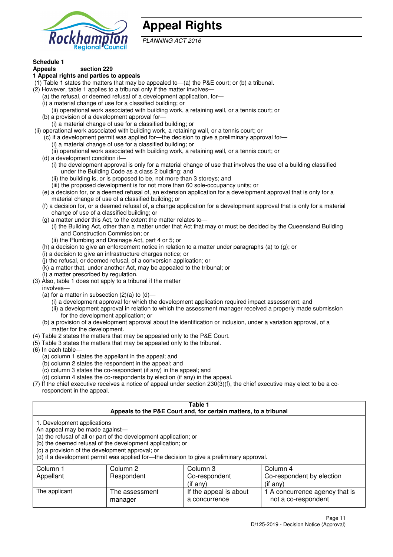

## **Appeal Rights**

PLANNING ACT 2016

## **Schedule 1**

#### **Appeals section 229 1 Appeal rights and parties to appeals**

- (1) Table 1 states the matters that may be appealed to—(a) the P&E court; or (b) a tribunal.
- (2) However, table 1 applies to a tribunal only if the matter involves—
	- (a) the refusal, or deemed refusal of a development application, for—
	- (i) a material change of use for a classified building; or
	- (ii) operational work associated with building work, a retaining wall, or a tennis court; or
	- (b) a provision of a development approval for—
	- (i) a material change of use for a classified building; or
- (ii) operational work associated with building work, a retaining wall, or a tennis court; or
	- (c) if a development permit was applied for—the decision to give a preliminary approval for— (i) a material change of use for a classified building; or
	- (ii) operational work associated with building work, a retaining wall, or a tennis court; or
	- (d) a development condition if—
		- (i) the development approval is only for a material change of use that involves the use of a building classified under the Building Code as a class 2 building; and
		- (ii) the building is, or is proposed to be, not more than 3 storeys; and
		- (iii) the proposed development is for not more than 60 sole-occupancy units; or
	- (e) a decision for, or a deemed refusal of, an extension application for a development approval that is only for a material change of use of a classified building; or
	- (f) a decision for, or a deemed refusal of, a change application for a development approval that is only for a material change of use of a classified building; or
	- (g) a matter under this Act, to the extent the matter relates to—
		- (i) the Building Act, other than a matter under that Act that may or must be decided by the Queensland Building and Construction Commission; or
		- (ii) the Plumbing and Drainage Act, part 4 or 5; or
	- (h) a decision to give an enforcement notice in relation to a matter under paragraphs (a) to (g); or
	- (i) a decision to give an infrastructure charges notice; or
	- (j) the refusal, or deemed refusal, of a conversion application; or
	- (k) a matter that, under another Act, may be appealed to the tribunal; or
	- (l) a matter prescribed by regulation.
- (3) Also, table 1 does not apply to a tribunal if the matter

involves—

- (a) for a matter in subsection  $(2)(a)$  to  $(d)$ 
	- (i) a development approval for which the development application required impact assessment; and
	- (ii) a development approval in relation to which the assessment manager received a properly made submission for the development application; or
- (b) a provision of a development approval about the identification or inclusion, under a variation approval, of a matter for the development.
- (4) Table 2 states the matters that may be appealed only to the P&E Court.
- (5) Table 3 states the matters that may be appealed only to the tribunal.
- (6) In each table—
	- (a) column 1 states the appellant in the appeal; and
	- (b) column 2 states the respondent in the appeal; and
	- (c) column 3 states the co-respondent (if any) in the appeal; and
	- (d) column 4 states the co-respondents by election (if any) in the appeal.
- (7) If the chief executive receives a notice of appeal under section 230(3)(f), the chief executive may elect to be a corespondent in the appeal.

| Table 1<br>Appeals to the P&E Court and, for certain matters, to a tribunal                                                                                                                                                                                                                                                                    |                           |                                         |                                                       |  |  |
|------------------------------------------------------------------------------------------------------------------------------------------------------------------------------------------------------------------------------------------------------------------------------------------------------------------------------------------------|---------------------------|-----------------------------------------|-------------------------------------------------------|--|--|
| 1. Development applications<br>An appeal may be made against-<br>(a) the refusal of all or part of the development application; or<br>(b) the deemed refusal of the development application; or<br>(c) a provision of the development approval; or<br>(d) if a development permit was applied for-the decision to give a preliminary approval. |                           |                                         |                                                       |  |  |
| Column 1                                                                                                                                                                                                                                                                                                                                       | Column 2                  | Column 3                                | Column 4                                              |  |  |
| Appellant                                                                                                                                                                                                                                                                                                                                      | Respondent                | Co-respondent                           | Co-respondent by election                             |  |  |
| $(i$ f any $)$<br>(if any)                                                                                                                                                                                                                                                                                                                     |                           |                                         |                                                       |  |  |
| The applicant                                                                                                                                                                                                                                                                                                                                  | The assessment<br>manager | If the appeal is about<br>a concurrence | 1 A concurrence agency that is<br>not a co-respondent |  |  |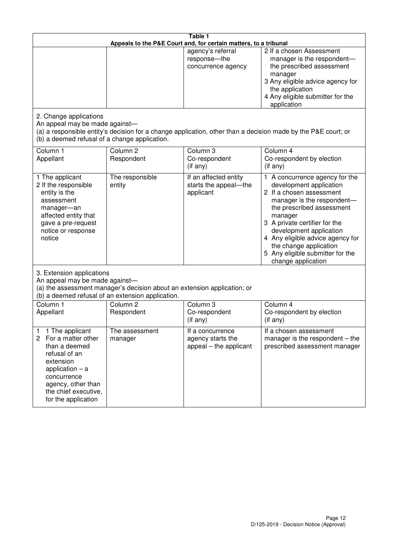| Table 1<br>Appeals to the P&E Court and, for certain matters, to a tribunal                                                                                                                             |                                   |                                                                 |                                                                                                                                                                                                                                                                                                                                                 |  |
|---------------------------------------------------------------------------------------------------------------------------------------------------------------------------------------------------------|-----------------------------------|-----------------------------------------------------------------|-------------------------------------------------------------------------------------------------------------------------------------------------------------------------------------------------------------------------------------------------------------------------------------------------------------------------------------------------|--|
|                                                                                                                                                                                                         |                                   | agency's referral<br>response-the<br>concurrence agency         | 2 If a chosen Assessment<br>manager is the respondent-<br>the prescribed assessment<br>manager<br>3 Any eligible advice agency for<br>the application<br>4 Any eligible submitter for the<br>application                                                                                                                                        |  |
| 2. Change applications<br>An appeal may be made against-<br>(b) a deemed refusal of a change application.                                                                                               |                                   |                                                                 | (a) a responsible entity's decision for a change application, other than a decision made by the P&E court; or                                                                                                                                                                                                                                   |  |
| Column 1<br>Appellant                                                                                                                                                                                   | Column <sub>2</sub><br>Respondent | Column 3<br>Co-respondent<br>$($ if any $)$                     | Column 4<br>Co-respondent by election<br>(if any)                                                                                                                                                                                                                                                                                               |  |
| 1 The applicant<br>2 If the responsible<br>entity is the<br>assessment<br>manager-an<br>affected entity that<br>gave a pre-request<br>notice or response<br>notice                                      | The responsible<br>entity         | If an affected entity<br>starts the appeal-the<br>applicant     | 1 A concurrence agency for the<br>development application<br>2 If a chosen assessment<br>manager is the respondent-<br>the prescribed assessment<br>manager<br>3 A private certifier for the<br>development application<br>4 Any eligible advice agency for<br>the change application<br>5 Any eligible submitter for the<br>change application |  |
| 3. Extension applications<br>An appeal may be made against-<br>(a) the assessment manager's decision about an extension application; or<br>(b) a deemed refusal of an extension application.            |                                   |                                                                 |                                                                                                                                                                                                                                                                                                                                                 |  |
| Column 1<br>Appellant                                                                                                                                                                                   | Column <sub>2</sub><br>Respondent | Column 3<br>Co-respondent<br>(if any)                           | Column $\overline{4}$<br>Co-respondent by election<br>(if any)                                                                                                                                                                                                                                                                                  |  |
| 1 The applicant<br>1<br>2<br>For a matter other<br>than a deemed<br>refusal of an<br>extension<br>application $-$ a<br>concurrence<br>agency, other than<br>the chief executive,<br>for the application | The assessment<br>manager         | If a concurrence<br>agency starts the<br>appeal – the applicant | If a chosen assessment<br>manager is the respondent $-$ the<br>prescribed assessment manager                                                                                                                                                                                                                                                    |  |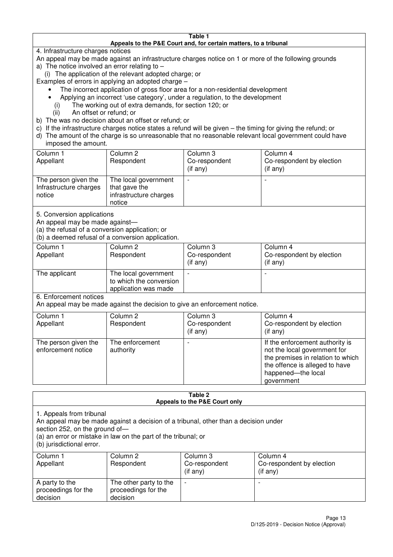#### **Table 1 Appeals to the P&E Court and, for certain matters, to a tribunal**

4. Infrastructure charges notices

- An appeal may be made against an infrastructure charges notice on 1 or more of the following grounds
- a) The notice involved an error relating to
	- (i) The application of the relevant adopted charge; or
- Examples of errors in applying an adopted charge
	- The incorrect application of gross floor area for a non-residential development
	- Applying an incorrect 'use category', under a regulation, to the development
	- (i) The working out of extra demands, for section 120; or
	- (ii) An offset or refund; or
- b) The was no decision about an offset or refund; or
- c) If the infrastructure charges notice states a refund will be given the timing for giving the refund; or
- d) The amount of the charge is so unreasonable that no reasonable relevant local government could have

#### imposed the amount.

| Column 1<br>Appellant                                    | Column 2<br>Respondent                                                    | Column 3<br>Co-respondent<br>(if any) | Column 4<br>Co-respondent by election<br>$($ if any $)$ |
|----------------------------------------------------------|---------------------------------------------------------------------------|---------------------------------------|---------------------------------------------------------|
| The person given the<br>Infrastructure charges<br>notice | The local government<br>that gave the<br>infrastructure charges<br>notice |                                       |                                                         |

5. Conversion applications

An appeal may be made against—

(a) the refusal of a conversion application; or

(b) a deemed refusal of a conversion application.

| Column 1<br>Appellant | Column 2<br>Respondent                                                  | Column 3<br>Co-respondent<br>$($ if any $)$ | Column 4<br>Co-respondent by election<br>$($ if any $)$ |
|-----------------------|-------------------------------------------------------------------------|---------------------------------------------|---------------------------------------------------------|
| The applicant         | The local government<br>to which the conversion<br>application was made |                                             |                                                         |

6. Enforcement notices

An appeal may be made against the decision to give an enforcement notice.

| Column 1                                   | Column 2                     | Column 3       | Column 4                                                                                                                                                                   |
|--------------------------------------------|------------------------------|----------------|----------------------------------------------------------------------------------------------------------------------------------------------------------------------------|
| Appellant                                  | Respondent                   | Co-respondent  | Co-respondent by election                                                                                                                                                  |
|                                            |                              | $($ if any $)$ | (if any)                                                                                                                                                                   |
| The person given the<br>enforcement notice | The enforcement<br>authority |                | If the enforcement authority is<br>not the local government for<br>the premises in relation to which<br>the offence is alleged to have<br>happened-the local<br>government |

#### **Table 2 Appeals to the P&E Court only**

1. Appeals from tribunal

An appeal may be made against a decision of a tribunal, other than a decision under

section 252, on the ground of-

(a) an error or mistake in law on the part of the tribunal; or

(b) jurisdictional error.

| Column 1<br>Appellant                             | Column 2<br>Respondent                                    | Column 3<br>Co-respondent<br>$($ if any $)$ | Column 4<br>Co-respondent by election<br>(if any) |
|---------------------------------------------------|-----------------------------------------------------------|---------------------------------------------|---------------------------------------------------|
| A party to the<br>proceedings for the<br>decision | The other party to the<br>proceedings for the<br>decision | $\overline{\phantom{0}}$                    |                                                   |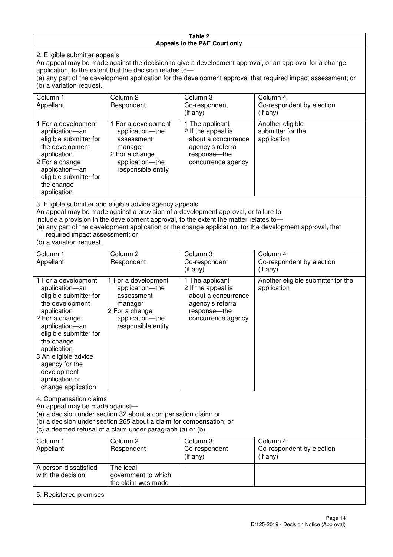#### **Table 2 Appeals to the P&E Court only**

2. Eligible submitter appeals

An appeal may be made against the decision to give a development approval, or an approval for a change application, to the extent that the decision relates to—

(a) any part of the development application for the development approval that required impact assessment; or (b) a variation request.

| Column 1                                                                                                                                                                                                                                                                                                                                                                               | Column 2                                                                                                                   | Column 3                                                                                                                | Column 4                                             |  |
|----------------------------------------------------------------------------------------------------------------------------------------------------------------------------------------------------------------------------------------------------------------------------------------------------------------------------------------------------------------------------------------|----------------------------------------------------------------------------------------------------------------------------|-------------------------------------------------------------------------------------------------------------------------|------------------------------------------------------|--|
| Appellant                                                                                                                                                                                                                                                                                                                                                                              | Respondent                                                                                                                 | Co-respondent                                                                                                           | Co-respondent by election                            |  |
|                                                                                                                                                                                                                                                                                                                                                                                        |                                                                                                                            | $($ if any $)$                                                                                                          | (i f any)                                            |  |
| 1 For a development<br>application-an<br>eligible submitter for<br>the development<br>application<br>2 For a change<br>application-an<br>eligible submitter for<br>the change<br>application                                                                                                                                                                                           | 1 For a development<br>application-the<br>assessment<br>manager<br>2 For a change<br>application-the<br>responsible entity | 1 The applicant<br>2 If the appeal is<br>about a concurrence<br>agency's referral<br>response-the<br>concurrence agency | Another eligible<br>submitter for the<br>application |  |
| 3. Eligible submitter and eligible advice agency appeals<br>An appeal may be made against a provision of a development approval, or failure to<br>include a provision in the development approval, to the extent the matter relates to-<br>(a) any part of the development application or the change application, for the development approval, that<br>required impact assessment; or |                                                                                                                            |                                                                                                                         |                                                      |  |

(b) a variation request.

| Column 1<br>Appellant                                                                                                                                                                                                                                                                         | Column <sub>2</sub><br>Respondent                                                                                          | Column 3<br>Co-respondent<br>$($ if any $)$                                                                             | Column 4<br>Co-respondent by election<br>(i f any) |  |
|-----------------------------------------------------------------------------------------------------------------------------------------------------------------------------------------------------------------------------------------------------------------------------------------------|----------------------------------------------------------------------------------------------------------------------------|-------------------------------------------------------------------------------------------------------------------------|----------------------------------------------------|--|
| 1 For a development<br>application-an<br>eligible submitter for<br>the development<br>application<br>2 For a change<br>application-an<br>eligible submitter for<br>the change<br>application<br>3 An eligible advice<br>agency for the<br>development<br>application or<br>change application | 1 For a development<br>application-the<br>assessment<br>manager<br>2 For a change<br>application-the<br>responsible entity | 1 The applicant<br>2 If the appeal is<br>about a concurrence<br>agency's referral<br>response-the<br>concurrence agency | Another eligible submitter for the<br>application  |  |
| 4. Compensation claims<br>An appeal may be made against-<br>(a) a decision under section 32 about a compensation claim; or<br>(b) a decision under section 265 about a claim for compensation; or<br>(c) a deemed refusal of a claim under paragraph (a) or (b).                              |                                                                                                                            |                                                                                                                         |                                                    |  |
| Column 1<br>Appellant                                                                                                                                                                                                                                                                         | Column <sub>2</sub><br>Respondent                                                                                          | Column 3<br>Co-respondent<br>(if any)                                                                                   | Column 4<br>Co-respondent by election<br>(if any)  |  |
| A person dissatisfied<br>with the decision                                                                                                                                                                                                                                                    | The local<br>government to which                                                                                           |                                                                                                                         |                                                    |  |

 $\overline{\phantom{a}}$ 

5. Registered premises

the claim was made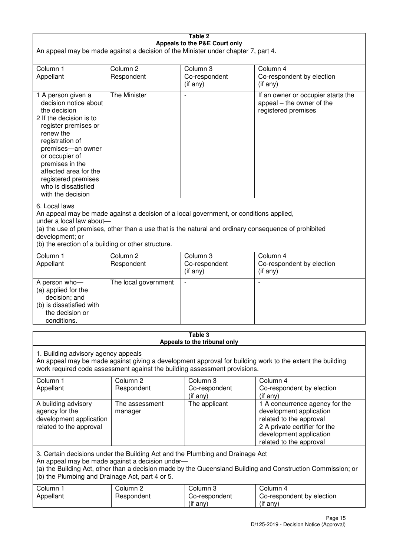| Table 2                                                                                                                                                                                                                                                                                                              |                                   |                                       |                                                                                                                                                                             |  |
|----------------------------------------------------------------------------------------------------------------------------------------------------------------------------------------------------------------------------------------------------------------------------------------------------------------------|-----------------------------------|---------------------------------------|-----------------------------------------------------------------------------------------------------------------------------------------------------------------------------|--|
| Appeals to the P&E Court only<br>An appeal may be made against a decision of the Minister under chapter 7, part 4.                                                                                                                                                                                                   |                                   |                                       |                                                                                                                                                                             |  |
|                                                                                                                                                                                                                                                                                                                      |                                   |                                       |                                                                                                                                                                             |  |
| Column 1<br>Appellant                                                                                                                                                                                                                                                                                                | Column <sub>2</sub><br>Respondent | Column 3<br>Co-respondent             | Column 4<br>Co-respondent by election                                                                                                                                       |  |
|                                                                                                                                                                                                                                                                                                                      |                                   | (if any)                              | (i f any)                                                                                                                                                                   |  |
| 1 A person given a<br>decision notice about<br>the decision<br>2 If the decision is to<br>register premises or<br>renew the<br>registration of<br>premises-an owner<br>or occupier of<br>premises in the<br>affected area for the<br>registered premises<br>who is dissatisfied<br>with the decision                 | The Minister                      | $\overline{\phantom{a}}$              | If an owner or occupier starts the<br>appeal – the owner of the<br>registered premises                                                                                      |  |
| 6. Local laws<br>An appeal may be made against a decision of a local government, or conditions applied,<br>under a local law about-<br>(a) the use of premises, other than a use that is the natural and ordinary consequence of prohibited<br>development; or<br>(b) the erection of a building or other structure. |                                   |                                       |                                                                                                                                                                             |  |
| Column 1                                                                                                                                                                                                                                                                                                             | Column <sub>2</sub>               | Column 3                              | Column 4                                                                                                                                                                    |  |
| Appellant                                                                                                                                                                                                                                                                                                            | Respondent                        | Co-respondent<br>(if any)             | Co-respondent by election<br>(if any)                                                                                                                                       |  |
| A person who-<br>(a) applied for the<br>decision; and<br>(b) is dissatisfied with<br>the decision or<br>conditions.                                                                                                                                                                                                  | The local government              | $\overline{a}$                        |                                                                                                                                                                             |  |
| Table 3                                                                                                                                                                                                                                                                                                              |                                   |                                       |                                                                                                                                                                             |  |
| Appeals to the tribunal only<br>1. Building advisory agency appeals<br>An appeal may be made against giving a development approval for building work to the extent the building<br>work required code assessment against the building assessment provisions.                                                         |                                   |                                       |                                                                                                                                                                             |  |
| Column 1<br>Appellant                                                                                                                                                                                                                                                                                                | Column <sub>2</sub><br>Respondent | Column 3<br>Co-respondent<br>(if any) | Column 4<br>Co-respondent by election<br>(if any)                                                                                                                           |  |
| A building advisory<br>agency for the<br>development application<br>related to the approval                                                                                                                                                                                                                          | The assessment<br>manager         | The applicant                         | 1 A concurrence agency for the<br>development application<br>related to the approval<br>2 A private certifier for the<br>development application<br>related to the approval |  |
| 3. Certain decisions under the Building Act and the Plumbing and Drainage Act<br>An appeal may be made against a decision under-<br>(a) the Building Act, other than a decision made by the Queensland Building and Construction Commission; or<br>(b) the Plumbing and Drainage Act, part 4 or 5.                   |                                   |                                       |                                                                                                                                                                             |  |
| Column 1<br>Appellant                                                                                                                                                                                                                                                                                                | Column <sub>2</sub><br>Respondent | Column 3<br>Co-respondent<br>(if any) | Column 4<br>Co-respondent by election<br>(if any)                                                                                                                           |  |